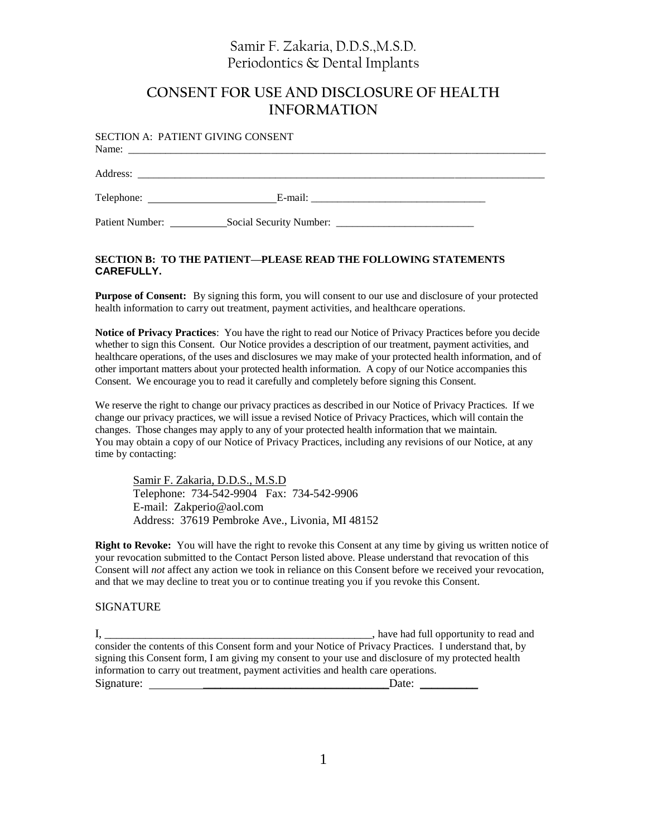# Samir F. Zakaria, D.D.S.,M.S.D. Periodontics & Dental Implants

## **CONSENT FOR USE AND DISCLOSURE OF HEALTH INFORMATION**

|                 | <b>SECTION A: PATIENT GIVING CONSENT</b> |  |
|-----------------|------------------------------------------|--|
|                 |                                          |  |
|                 |                                          |  |
| Patient Number: | Social Security Number:                  |  |

#### **SECTION B: TO THE PATIENT—PLEASE READ THE FOLLOWING STATEMENTS CAREFULLY.**

**Purpose of Consent:** By signing this form, you will consent to our use and disclosure of your protected health information to carry out treatment, payment activities, and healthcare operations.

**Notice of Privacy Practices**: You have the right to read our Notice of Privacy Practices before you decide whether to sign this Consent. Our Notice provides a description of our treatment, payment activities, and healthcare operations, of the uses and disclosures we may make of your protected health information, and of other important matters about your protected health information. A copy of our Notice accompanies this Consent. We encourage you to read it carefully and completely before signing this Consent.

We reserve the right to change our privacy practices as described in our Notice of Privacy Practices. If we change our privacy practices, we will issue a revised Notice of Privacy Practices, which will contain the changes. Those changes may apply to any of your protected health information that we maintain. You may obtain a copy of our Notice of Privacy Practices, including any revisions of our Notice, at any time by contacting:

Samir F. Zakaria, D.D.S., M.S.D Telephone: 734-542-9904 Fax: 734-542-9906 E-mail: Zakperio@aol.com Address: 37619 Pembroke Ave., Livonia, MI 48152

**Right to Revoke:** You will have the right to revoke this Consent at any time by giving us written notice of your revocation submitted to the Contact Person listed above. Please understand that revocation of this Consent will *not* affect any action we took in reliance on this Consent before we received your revocation, and that we may decline to treat you or to continue treating you if you revoke this Consent.

#### **SIGNATURE**

I, \_\_\_\_\_\_\_\_\_\_\_\_\_\_\_\_\_\_\_\_\_\_\_\_\_\_\_\_\_\_\_\_\_\_\_\_\_\_\_\_\_\_\_\_\_\_, have had full opportunity to read and consider the contents of this Consent form and your Notice of Privacy Practices. I understand that, by signing this Consent form, I am giving my consent to your use and disclosure of my protected health information to carry out treatment, payment activities and health care operations. Signature: \_\_\_\_\_\_\_\_\_\_\_\_\_\_\_\_\_\_\_\_\_\_\_\_\_\_\_\_\_\_\_\_Date: \_\_\_\_\_\_\_\_\_\_